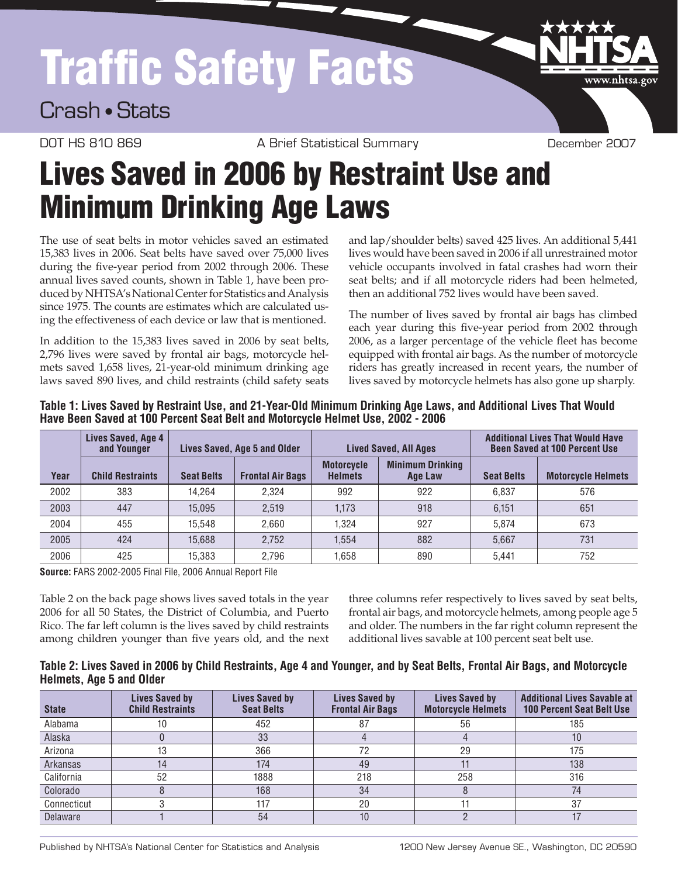# Traffic Safety Facts

### Crash • Stats

DOT HS 810 869 A Brief Statistical Summary December 2007

www.nhtsa.gov

## Lives Saved in 2006 by Restraint Use and Minimum Drinking Age Laws

The use of seat belts in motor vehicles saved an estimated 15,383 lives in 2006. Seat belts have saved over 75,000 lives during the five-year period from 2002 through 2006. These annual lives saved counts, shown in Table 1, have been produced by NHTSA's National Center for Statistics and Analysis since 1975. The counts are estimates which are calculated using the effectiveness of each device or law that is mentioned.

In addition to the 15,383 lives saved in 2006 by seat belts, 2,796 lives were saved by frontal air bags, motorcycle helmets saved 1,658 lives, 21-year-old minimum drinking age laws saved 890 lives, and child restraints (child safety seats and lap/shoulder belts) saved 425 lives. An additional 5,441 lives would have been saved in 2006 if all unrestrained motor vehicle occupants involved in fatal crashes had worn their seat belts; and if all motorcycle riders had been helmeted, then an additional 752 lives would have been saved.

The number of lives saved by frontal air bags has climbed each year during this five-year period from 2002 through 2006, as a larger percentage of the vehicle fleet has become equipped with frontal air bags. As the number of motorcycle riders has greatly increased in recent years, the number of lives saved by motorcycle helmets has also gone up sharply.

|      | Lives Saved, Age 4<br>and Younger | Lives Saved, Age 5 and Older |                         | <b>Lived Saved, All Ages</b>        |                                    | <b>Additional Lives That Would Have</b><br><b>Been Saved at 100 Percent Use</b> |                           |
|------|-----------------------------------|------------------------------|-------------------------|-------------------------------------|------------------------------------|---------------------------------------------------------------------------------|---------------------------|
| Year | <b>Child Restraints</b>           | <b>Seat Belts</b>            | <b>Frontal Air Bags</b> | <b>Motorcycle</b><br><b>Helmets</b> | <b>Minimum Drinking</b><br>Age Law | <b>Seat Belts</b>                                                               | <b>Motorcycle Helmets</b> |
| 2002 | 383                               | 14.264                       | 2.324                   | 992                                 | 922                                | 6.837                                                                           | 576                       |
| 2003 | 447                               | 15.095                       | 2.519                   | 1,173                               | 918                                | 6.151                                                                           | 651                       |
| 2004 | 455                               | 15.548                       | 2.660                   | 1.324                               | 927                                | 5.874                                                                           | 673                       |
| 2005 | 424                               | 15.688                       | 2.752                   | 1.554                               | 882                                | 5.667                                                                           | 731                       |
| 2006 | 425                               | 15.383                       | 2.796                   | 1.658                               | 890                                | 5.441                                                                           | 752                       |

Table 1: Lives Saved by Restraint Use, and 21-Year-Old Minimum Drinking Age Laws, and Additional Lives That Would **Have Been Saved at 100 Percent Seat Belt and Motorcycle Helmet Use, 2002 - 2006**

**Source:** FARS 2002-2005 Final File, 2006 Annual Report File

Table 2 on the back page shows lives saved totals in the year 2006 for all 50 States, the District of Columbia, and Puerto Rico. The far left column is the lives saved by child restraints among children younger than five years old, and the next

three columns refer respectively to lives saved by seat belts, frontal air bags, and motorcycle helmets, among people age 5 and older. The numbers in the far right column represent the additional lives savable at 100 percent seat belt use.

### Table 2: Lives Saved in 2006 by Child Restraints, Age 4 and Younger, and by Seat Belts, Frontal Air Bags, and Motorcycle **Helmets, Age 5 and Older**

| <b>State</b> | Lives Saved by<br><b>Child Restraints</b> | <b>Lives Saved by</b><br><b>Seat Belts</b> | Lives Saved by<br><b>Frontal Air Bags</b> | <b>Lives Saved by</b><br><b>Motorcycle Helmets</b> | <b>Additional Lives Savable at</b><br><b>100 Percent Seat Belt Use</b> |
|--------------|-------------------------------------------|--------------------------------------------|-------------------------------------------|----------------------------------------------------|------------------------------------------------------------------------|
| Alabama      |                                           | 452                                        | 87                                        | 56                                                 | 185                                                                    |
| Alaska       |                                           | 33                                         |                                           |                                                    | 10                                                                     |
| Arizona      | 13                                        | 366                                        | 72                                        | 29                                                 | 175                                                                    |
| Arkansas     | 14                                        | 174                                        | 49                                        |                                                    | 138                                                                    |
| California   | 52                                        | 1888                                       | 218                                       | 258                                                | 316                                                                    |
| Colorado     |                                           | 168                                        | 34                                        |                                                    | 74                                                                     |
| Connecticut  |                                           | 117                                        | 20                                        |                                                    | 37                                                                     |
| Delaware     |                                           | 54                                         | 10                                        |                                                    |                                                                        |